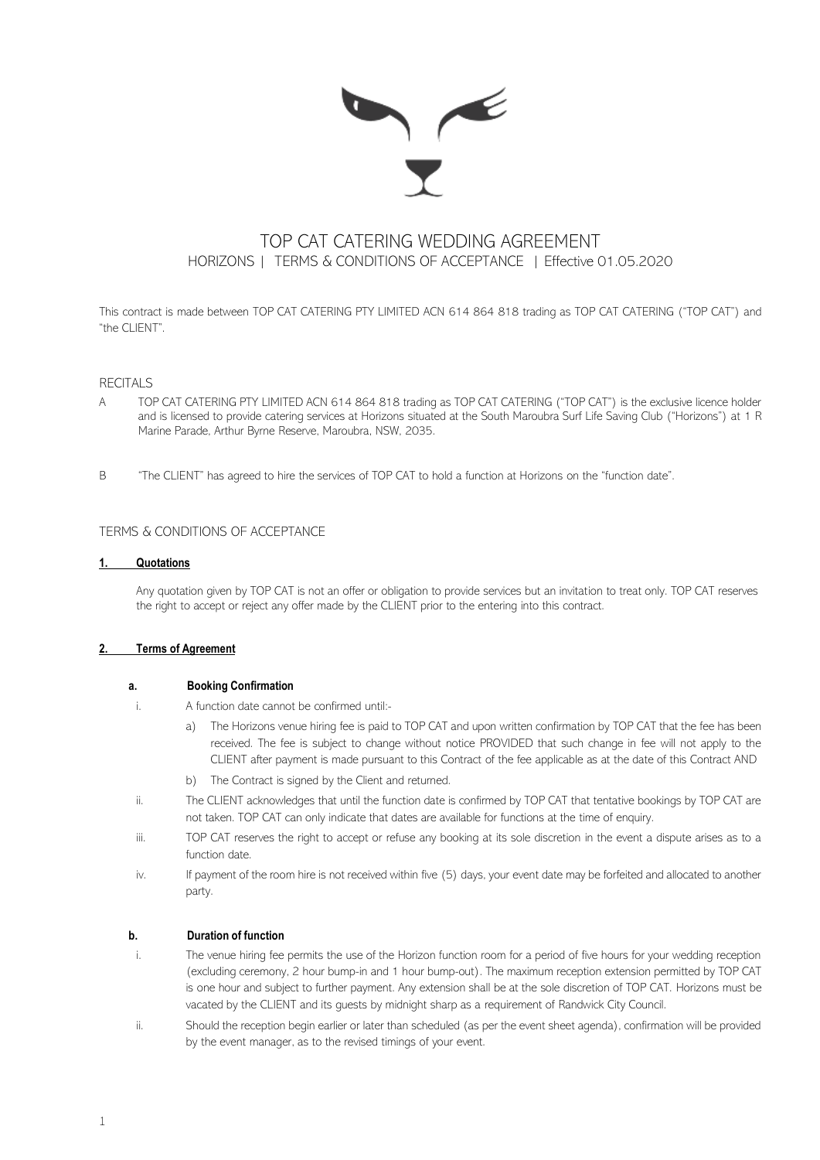

# TOP CAT CATERING WEDDING AGREEMENT HORIZONS | TERMS & CONDITIONS OF ACCEPTANCE | Effective 01.05.2020

This contract is made between TOP CAT CATERING PTY LIMITED ACN 614 864 818 trading as TOP CAT CATERING ("TOP CAT") and "the CLIENT".

## **RECITALS**

- A TOP CAT CATERING PTY LIMITED ACN 614 864 818 trading as TOP CAT CATERING ("TOP CAT") is the exclusive licence holder and is licensed to provide catering services at Horizons situated at the South Maroubra Surf Life Saving Club ("Horizons") at 1 R Marine Parade, Arthur Byrne Reserve, Maroubra, NSW, 2035.
- B "The CLIENT" has agreed to hire the services of TOP CAT to hold a function at Horizons on the "function date".

## TERMS & CONDITIONS OF ACCEPTANCE

#### **1. Quotations**

Any quotation given by TOP CAT is not an offer or obligation to provide services but an invitation to treat only. TOP CAT reserves the right to accept or reject any offer made by the CLIENT prior to the entering into this contract.

#### **2. Terms of Agreement**

## **a. Booking Confirmation**

- i. A function date cannot be confirmed until:
	- a) The Horizons venue hiring fee is paid to TOP CAT and upon written confirmation by TOP CAT that the fee has been received. The fee is subject to change without notice PROVIDED that such change in fee will not apply to the CLIENT after payment is made pursuant to this Contract of the fee applicable as at the date of this Contract AND
	- b) The Contract is signed by the Client and returned.
- ii. The CLIENT acknowledges that until the function date is confirmed by TOP CAT that tentative bookings by TOP CAT are not taken. TOP CAT can only indicate that dates are available for functions at the time of enquiry.
- iii. TOP CAT reserves the right to accept or refuse any booking at its sole discretion in the event a dispute arises as to a function date.
- iv. If payment of the room hire is not received within five (5) days, your event date may be forfeited and allocated to another party.

#### **b. Duration of function**

- i. The venue hiring fee permits the use of the Horizon function room for a period of five hours for your wedding reception (excluding ceremony, 2 hour bump-in and 1 hour bump-out). The maximum reception extension permitted by TOP CAT is one hour and subject to further payment. Any extension shall be at the sole discretion of TOP CAT. Horizons must be vacated by the CLIENT and its guests by midnight sharp as a requirement of Randwick City Council.
- ii. Should the reception begin earlier or later than scheduled (as per the event sheet agenda), confirmation will be provided by the event manager, as to the revised timings of your event.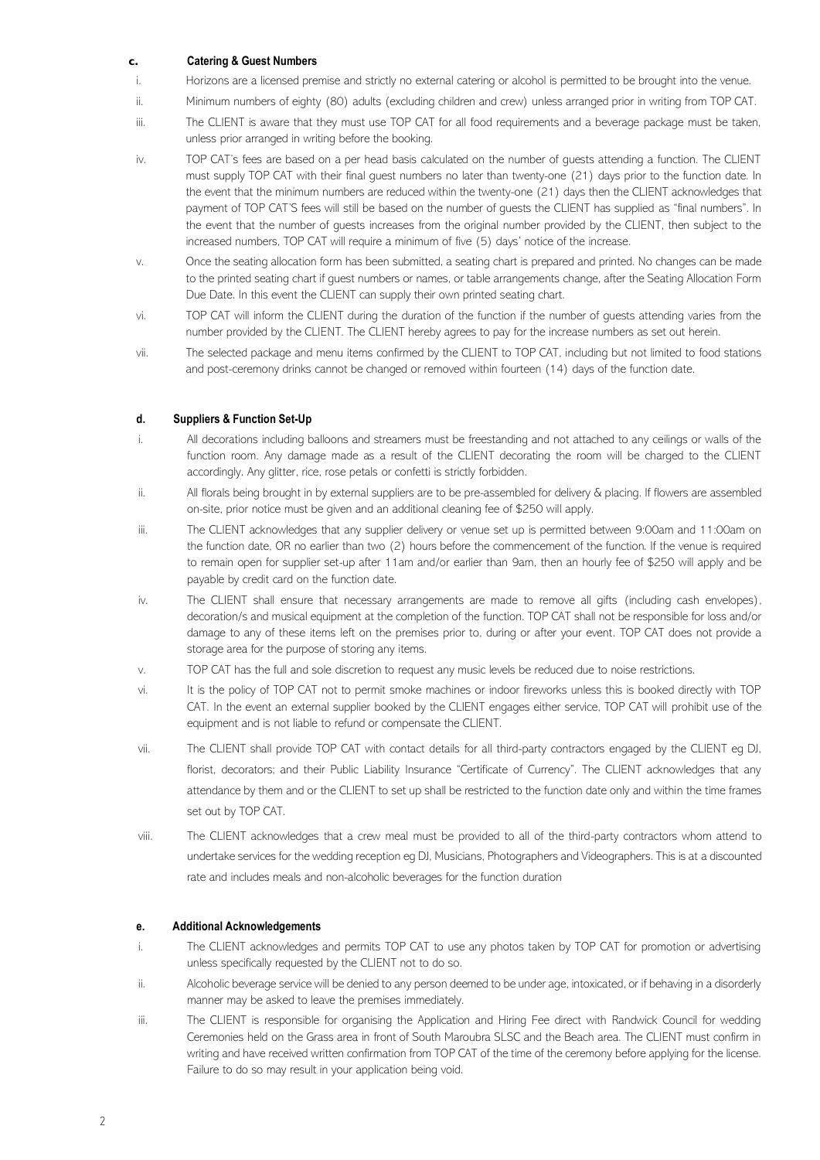## **c. Catering & Guest Numbers**

- i. Horizons are a licensed premise and strictly no external catering or alcohol is permitted to be brought into the venue.
- ii. Minimum numbers of eighty (80) adults (excluding children and crew) unless arranged prior in writing from TOP CAT.
- iii. The CLIENT is aware that they must use TOP CAT for all food requirements and a beverage package must be taken, unless prior arranged in writing before the booking.
- iv. TOP CAT's fees are based on a per head basis calculated on the number of guests attending a function. The CLIENT must supply TOP CAT with their final guest numbers no later than twenty-one (21) days prior to the function date. In the event that the minimum numbers are reduced within the twenty-one (21) days then the CLIENT acknowledges that payment of TOP CAT'S fees will still be based on the number of guests the CLIENT has supplied as "final numbers". In the event that the number of guests increases from the original number provided by the CLIENT, then subject to the increased numbers, TOP CAT will require a minimum of five (5) days' notice of the increase.
- v. Once the seating allocation form has been submitted, a seating chart is prepared and printed. No changes can be made to the printed seating chart if guest numbers or names, or table arrangements change, after the Seating Allocation Form Due Date. In this event the CLIENT can supply their own printed seating chart.
- vi. TOP CAT will inform the CLIENT during the duration of the function if the number of guests attending varies from the number provided by the CLIENT. The CLIENT hereby agrees to pay for the increase numbers as set out herein.
- vii. The selected package and menu items confirmed by the CLIENT to TOP CAT, including but not limited to food stations and post-ceremony drinks cannot be changed or removed within fourteen (14) days of the function date.

# **d. Suppliers & Function Set-Up**

- i. All decorations including balloons and streamers must be freestanding and not attached to any ceilings or walls of the function room. Any damage made as a result of the CLIENT decorating the room will be charged to the CLIENT accordingly. Any glitter, rice, rose petals or confetti is strictly forbidden.
- ii. All florals being brought in by external suppliers are to be pre-assembled for delivery & placing. If flowers are assembled on-site, prior notice must be given and an additional cleaning fee of \$250 will apply.
- iii. The CLIENT acknowledges that any supplier delivery or venue set up is permitted between 9:00am and 11:00am on the function date, OR no earlier than two (2) hours before the commencement of the function. If the venue is required to remain open for supplier set-up after 11am and/or earlier than 9am, then an hourly fee of \$250 will apply and be payable by credit card on the function date.
- iv. The CLIENT shall ensure that necessary arrangements are made to remove all gifts (including cash envelopes), decoration/s and musical equipment at the completion of the function. TOP CAT shall not be responsible for loss and/or damage to any of these items left on the premises prior to, during or after your event. TOP CAT does not provide a storage area for the purpose of storing any items.
- v. TOP CAT has the full and sole discretion to request any music levels be reduced due to noise restrictions.
- vi. It is the policy of TOP CAT not to permit smoke machines or indoor fireworks unless this is booked directly with TOP CAT. In the event an external supplier booked by the CLIENT engages either service, TOP CAT will prohibit use of the equipment and is not liable to refund or compensate the CLIENT.
- vii. The CLIENT shall provide TOP CAT with contact details for all third-party contractors engaged by the CLIENT eg DJ, florist, decorators; and their Public Liability Insurance "Certificate of Currency". The CLIENT acknowledges that any attendance by them and or the CLIENT to set up shall be restricted to the function date only and within the time frames set out by TOP CAT.
- viii. The CLIENT acknowledges that a crew meal must be provided to all of the third-party contractors whom attend to undertake services for the wedding reception eg DJ, Musicians, Photographers and Videographers. This is at a discounted rate and includes meals and non-alcoholic beverages for the function duration

#### **e. Additional Acknowledgements**

- i. The CLIENT acknowledges and permits TOP CAT to use any photos taken by TOP CAT for promotion or advertising unless specifically requested by the CLIENT not to do so.
- ii. Alcoholic beverage service will be denied to any person deemed to be under age, intoxicated, or if behaving in a disorderly manner may be asked to leave the premises immediately.
- iii. The CLIENT is responsible for organising the Application and Hiring Fee direct with Randwick Council for wedding Ceremonies held on the Grass area in front of South Maroubra SLSC and the Beach area. The CLIENT must confirm in writing and have received written confirmation from TOP CAT of the time of the ceremony before applying for the license. Failure to do so may result in your application being void.